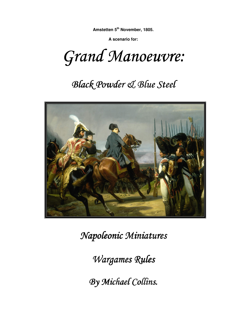**A scenario for:** 

Grand Manoeuvre:

# **Black Powder & Blue Steel**



 $Napoleonic$  *Miniatures* 

*Wargames Rules* 

*By Michael Collins. Collins.*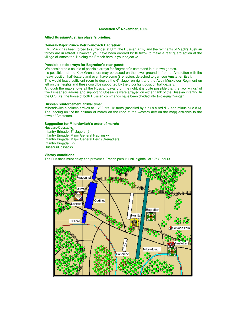#### **Allied Russian/Austrian player/s briefing:**

#### **General-Major Prince Petr Ivanovich Bagration:**

FML Mack has been forced to surrender at Ulm, the Russian Army and the remnants of Mack's Austrian forces are in retreat. However, you have been ordered by Kutuzov to make a rear guard action at the village of Amstetten. Holding the French here is your objective.

### **Possible battle arrays for Bagration`s rear-guard:**

We considered a couple of possible arrays for Bagration`s command in our own games.

It's possible that the Kiev Grenadiers may be placed on the lower ground in front of Amstetten with the heavy position half-battery and even have some Grenadiers detached to garrison Amstetten itself.

This would leave sufficient room to deploy the  $6<sup>th</sup>$  Jager on right and the Azov Musketeer Regiment on left on the heights and these could be supported by the 6 pdr light position half-battery.

Although the map shows all the Russian cavalry on the right, it is quite possible that the two "wings" of five Hussar squadrons and supporting Cossacks were arrayed on either flank of the Russian infantry. In the O.O.B`s, the horse of both Russian commands have been divided into two equal "wings".

#### **Russian reinforcement arrival time:**

Miloradovich`s column arrives at 16:32 hrs; 12 turns (modified by a plus a red d.6, and minus blue d.6). The leading unit of his column of march on the road at the western (left on the map) entrance to the town of Amstetten.

## **Suggestion for Milordovitch`s order of march:**

Hussars/Cossacks Infantry Brigade:  $8<sup>th</sup>$  Jagers (?) Infantry Brigade: Major General Repninsky Infantry Brigade: Major General Berg (Grenadiers) Infantry Brigade: (?) Hussars/Cossacks

#### **Victory conditions:**

The Russians must delay and prevent a French pursuit until nightfall at 17:30 hours.

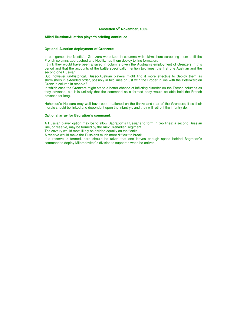#### **Allied Russian/Austrian player/s briefing continued:**

#### **Optional Austrian deployment of Grenzers:**

In our games the Nostitz's Grenzers were kept in columns with skirmishers screening them until the French columns approached and Nostitz had them deploy to line formation.

I think they would have been arrayed in columns given the Austrian's employment of Grenzers in this period and that the accounts of the battle specifically mention two lines; the first one Austrian and the second one Russian.

But, however un-historical, Russo-Austrian players might find it more effective to deploy them as skirmishers in extended order, possibly in two lines or just with the Broder in line with the Peterwardien Grenz in column in reserve?

In which case the Grenzers might stand a better chance of inflicting disorder on the French columns as they advance, but it is unlikely that the command as a formed body would be able hold the French advance for long.

Hohenloe`s Hussars may well have been stationed on the flanks and rear of the Grenzers; if so their morale should be linked and dependent upon the infantry's and they will retire if the infantry do.

#### **Optional array for Bagration`s command:**

A Russian player option may be to allow Bagration`s Russians to form in two lines: a second Russian line, or reserve, may be formed by the Kiev Grenadier Regiment.

The cavalry would most likely be divided equally on the flanks.

A reserve would make the Russians much more difficult to break.

If a reserve is formed, care should be taken that one leaves enough space behind Bagration`s command to deploy Miloradovitch`s division to support it when he arrives.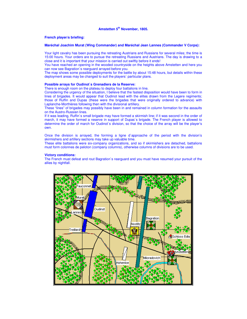#### **French player/s briefing:**

#### **Maréchal Joachim Murat (Wing Commander) and Maréchal Jean Lannes (Commander V Corps):**

Your light cavalry has been pursuing the retreating Austrians and Russians for several miles; the time is 15:00 hours. Your orders are to pursue the retreating Russians and Austrians. The day is drawing to a close and it is important that your mission is carried out swiftly before it ends!

You have reached an opening in the wooded countryside on the heights above Amstetten and here you can now see Bagration`s rearguard arrayed before you.

The map shows some possible deployments for the battle by about 15:48 hours, but details within these deployment areas may be changed to suit the players` particular plans.

#### **Possible arrays for Oudinot`s Grenadiers de la Reserve:**

There is enough room on the plateau to deploy four battalions in line.

Considering the urgency of the situation, I believe that the fastest disposition would have been to form in lines of brigades. It would appear that Oudinot lead with the elites drawn from the Legere regiments; those of Ruffin and Dupas (these were the brigades that were originally ordered to advance) with Laplanche-Morthières following then with the divisional artillery.

These "lines" of brigades may possibly have been in and remained in column formation for the assaults on the Austro-Russian lines.

If it was leading, Ruffin`s small brigade may have formed a skirmish line; if it was second in the order of march, it may have formed a reserve in support of Dupas`s brigade. The French player is allowed to determine the order of march for Oudinot`s division, so that the choice of the array will be the player's own.

Once the division is arrayed, the forming a ligne d`approache of the period with the division's skirmishers and artillery sections may take up valuable time.

These elite battalions were six-company organizations, and so if skirmishers are detached, battalions must form colonnes de peloton (company columns), otherwise columns of divisions are to be used.

#### **Victory conditions:**

The French must defeat and rout Bagration`s rearguard and you must have resumed your pursuit of the allies by nightfall.

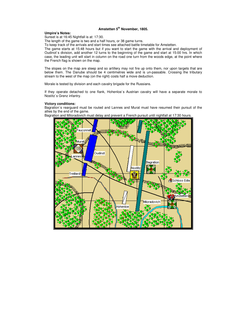#### **Umpire's Notes:**

Sunset is at 16:45 Nightfall is at: 17:30.

The length of the game is two and a half hours, or 38 game turns.

To keep track of the arrivals and start times see attached battle timetable for Amstetten.

The game starts at 15:48 hours but if you want to start the game with the arrival and deployment of Oudinot`s division, add another 12 turns to the beginning of the game and start at 15:00 hrs. In which case, the leading unit will start in column on the road one turn from the woods edge, at the point where the French flag is shown on the map.

The slopes on the map are steep and so artillery may not fire up onto them, nor upon targets that are below them. The Danube should be 4 centimetres wide and is un-passable. Crossing the tributary stream to the west of the map (on the right) costs half a move deduction.

Morale is tested by division and each cavalry brigade for the Russians.

If they operate detached to one flank, Hohenloe`s Austrian cavalry will have a separate morale to Nostitz`s Grenz infantry.

## **Victory conditions:**

Bagration`s rearguard must be routed and Lannes and Murat must have resumed their pursuit of the allies by the end of the game.

Bagration and Miloradovich must delay and prevent a French pursuit until nightfall at 17:30 hours.

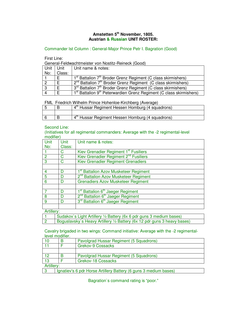# **Amstetten 5th November, 1805. Austrian & Russian UNIT ROSTER:**

Commander Ist Column : General-Major Prince Petr I. Bagration (Good)

First Line:

General-Feldwachtmeister von Nostitz-Reineck (Good)

| Unit | Unit   | Unit name & notes:                                                                          |
|------|--------|---------------------------------------------------------------------------------------------|
| No:  | Class: |                                                                                             |
|      | E.     | 1 <sup>st</sup> Battalion 7 <sup>th</sup> Broder Grenz Regiment (C class skirmishers)       |
|      | F      | $2nd$ Battalion $7th$ Broder Grenz Regiment (C class skirmishers)                           |
| -3   | E      | 3 <sup>rd</sup> Battalion 7 <sup>th</sup> Broder Grenz Regiment (C class skirmishers)       |
|      | F      | 1 <sup>st</sup> Battalion 9 <sup>th</sup> Peterwardien Grenz Regiment (C class skirmishers) |

FML Friedrich Wilhelm Prince Hohenloe-Kirchberg (Average)

|  | 4 <sup>th</sup> Hussar Regiment Hessen Homburg (4 squadrons) |
|--|--------------------------------------------------------------|
|  |                                                              |
|  | 4 <sup>th</sup> Hussar Regiment Hessen Homburg (4 squadrons) |
|  |                                                              |

# Second Line:

(Initiatives for all regimental commanders: Average with the -2 regimental-level modifier)

| Unit           | <b>Unit</b> | Unit name & notes:                                        |
|----------------|-------------|-----------------------------------------------------------|
| No:            | Class:      |                                                           |
|                | C           | Kiev Grenadier Regiment 1 <sup>st</sup> Fusiliers         |
| $\overline{2}$ | C           | Kiev Grenadier Regiment 2 <sup>nd</sup> Fusiliers         |
| 3              | C           | Kiev Grenadier Regiment Grenadiers                        |
|                |             |                                                           |
| 4              | D           | 1 <sup>st</sup> Battalion Azov Musketeer Regiment         |
| 5              | D           | 2 <sup>nd</sup> Battalion Azov Musketeer Regiment         |
| 6              |             | <b>Grenadiers Azov Musketeer Regiment</b>                 |
|                |             |                                                           |
|                | n           | 1 <sup>st</sup> Battalion 6 <sup>th</sup> Jaeger Regiment |
| 8              | D           | 2 <sup>nd</sup> Battalion 6 <sup>th</sup> Jaeger Regiment |
| 9              | D           | 3 <sup>rd</sup> Battalion 6 <sup>th</sup> Jaeger Regiment |
|                |             |                                                           |

Artillery:

| Sudakov's Light Artillery 1/2 Battery (6x 6 pdr guns 3 medium bases)     |
|--------------------------------------------------------------------------|
| Boguslavsky's Heavy Artillery 1/2 Battery (6x 12 pdr guns 3 heavy bases) |
|                                                                          |

Cavalry brigaded in two wings: Command initiative: Average with the -2 regimentallevel modifier.

|            | Pavolgrad Hussar Regiment (5 Squadrons) |
|------------|-----------------------------------------|
|            | <b>Grekov-9 Cossacks</b>                |
|            |                                         |
|            | Pavolgrad Hussar Regiment (5 Squadrons) |
| 13         | Grekov-18 Cossacks                      |
| Artillery: |                                         |

3 Ignatiev's 6 pdr Horse Artillery Battery (6 guns 3 medium bases)

Bagration`s command rating is "poor."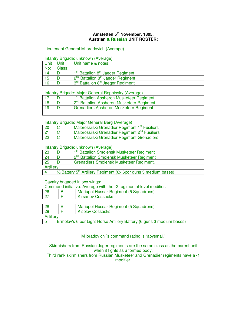# **Amstetten 5th November, 1805. Austrian & Russian UNIT ROSTER:**

# Lieutenant General Miloradovich (Average)

# Infantry Brigade: unknown (Average)

| Unit L | Unit   | Unit name & notes:                                        |
|--------|--------|-----------------------------------------------------------|
| No:    | Class: |                                                           |
| 14     |        | 1 <sup>st</sup> Battalion 8 <sup>th</sup> Jaeger Regiment |
| 15     |        | 2 <sup>nd</sup> Battalion 8 <sup>th</sup> Jaeger Regiment |
| 16     |        | 3 <sup>rd</sup> Battalion 8 <sup>th</sup> Jaeger Regiment |

## Infantry Brigade: Major General Repninsky (Average)

|    | 1 <sup>st</sup> Battalion Apsheron Musketeer Regiment |
|----|-------------------------------------------------------|
| 18 | 2 <sup>nd</sup> Battalion Apsheron Musketeer Regiment |
|    | <b>Grenadiers Apsheron Musketeer Regiment</b>         |
|    |                                                       |

# Infantry Brigade: Major General Berg (Average)

| 20         | Malorossiiski Grenadier Regiment 1 <sup>st</sup> Fusiliers |
|------------|------------------------------------------------------------|
| $\vert$ 21 | Malorossiiski Grenadier Regiment 2 <sup>nd</sup> Fusiliers |
| 22         | Malorossiiski Grenadier Regiment Grenadiers                |

# Infantry Brigade: unknown (Average)

| 23         | 1 <sup>st</sup> Battalion Smolensk Musketeer Regiment                                  |
|------------|----------------------------------------------------------------------------------------|
| 24         | 2 <sup>nd</sup> Battalion Smolensk Musketeer Regiment                                  |
| 25         | Grenadiers Smolensk Musketeer Regiment.                                                |
| Artillery: |                                                                                        |
|            | $\frac{1}{2}$ Battery 5 <sup>th</sup> Artillery Regiment (6x 6pdr guns 3 medium bases) |

## Cavalry brigaded in two wings:

Command initiative: Average with the -2 regimental-level modifier.

| Kirsanov Cossacks | - 26 | Mariupol Hussar Regiment (5 Squadrons) |
|-------------------|------|----------------------------------------|
|                   |      |                                        |

| 28         | Mariupol Hussar Regiment (5 Squadrons)                                |
|------------|-----------------------------------------------------------------------|
| 29         | <b>Kiselev Cossacks</b>                                               |
| Artillery: |                                                                       |
|            | Ermolov's 6 pdr Light Horse Artillery Battery (6 guns 3 medium bases) |

5 Ermolov's 6 pdr Light Horse Artillery Battery (6 guns 3 medium bases)

Miloradovich `s command rating is "abysmal."

Skirmishers from Russian Jager regiments are the same class as the parent unit when it fights as a formed body.

Third rank skirmishers from Russian Musketeer and Grenadier regiments have a -1 modifier.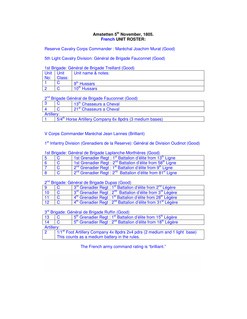# **Amstetten 5th November, 1805. French UNIT ROSTER:**

Reserve Cavalry Corps Commander : Maréchal Joachim Murat (Good)

5th Light Cavalry Division: Général de Brigade Fauconnet (Good)

1st Brigade: Général de Brigade Treillard (Good)

| <b>Unit</b><br>No: | Unit<br>Class: | Unit name & notes:       |
|--------------------|----------------|--------------------------|
|                    |                | 9 <sup>th</sup> Hussars  |
|                    |                | 10 <sup>th</sup> Hussars |

# 2<sup>nd</sup> Brigade Général de Brigade Fauconnet (Good)

|            |                                                                     | 13th Chasseurs a Cheval |  |  |
|------------|---------------------------------------------------------------------|-------------------------|--|--|
|            | 21 <sup>st</sup> Chasseurs a Cheval                                 |                         |  |  |
| Artillery: |                                                                     |                         |  |  |
|            | 5/4 <sup>th</sup> Horse Artillery Company 6x 8pdrs (3 medium bases) |                         |  |  |

V Corps Commander Maréchal Jean Lannes (Brilliant)

1<sup>st</sup> Infantry Division (Grenadiers de la Reserve): Général de Division Oudinot (Good)

| <u>100 Digado: Gonora: do Digado Eaplanono mortino oo foodd</u> |  |                                                                                               |
|-----------------------------------------------------------------|--|-----------------------------------------------------------------------------------------------|
|                                                                 |  | 1st Grenadier Regt: 1 <sup>st</sup> Battalion d'élite from 13 <sup>th</sup> Ligne             |
|                                                                 |  | 1st Grenadier Regt : 2 <sup>nd</sup> Battalion d'élite from 58 <sup>th</sup> Ligne            |
|                                                                 |  | 2 <sup>nd</sup> Grenadier Regt : 1 <sup>st</sup> Battalion d'élite from 9 <sup>th</sup> Ligne |
|                                                                 |  | 2 <sup>nd</sup> Grenadier Regt: 2 <sup>nd</sup> Battalion d'élite from 81 <sup>st</sup> Ligne |

# 1st Brigade: Général de Brigade Laplanche-Morthières (Good)

2<sup>nd</sup> Brigade: Général de Brigade Dupas (Good)

| $\overline{q}$ | 3rd Grenadier Regt : 1 <sup>st</sup> Battalion d'élite from 2 <sup>nd</sup> Légère              |
|----------------|-------------------------------------------------------------------------------------------------|
| $\vert$ 10     | 3rd Grenadier Regt : 2 <sup>nd</sup> Battalion d'élite from 3 <sup>rd</sup> Légère              |
| $\vert$ 11     | 4 <sup>th</sup> Grenadier Regt : 1 <sup>st</sup> Battalion d'élite from 28 <sup>th</sup> Légère |
| 12             | 4 <sup>th</sup> Grenadier Regt : 2 <sup>nd</sup> Battalion d'élite from 31 <sup>st</sup> Légère |

# 3<sup>rd</sup> Brigade: Général de Brigade Ruffin (Good)

| 13         |                                                                                        | 5 <sup>th</sup> Grenadier Regt : 1 <sup>st</sup> Battalion d'élite from 15 <sup>th</sup> Légère |  |
|------------|----------------------------------------------------------------------------------------|-------------------------------------------------------------------------------------------------|--|
| 14         |                                                                                        | 5 <sup>th</sup> Grenadier Regt : 2 <sup>nd</sup> Battalion d'élite from 18 <sup>th</sup> Légère |  |
| Artillery: |                                                                                        |                                                                                                 |  |
| റ          | 1/1 <sup>st</sup> Foot Artillery Company 4x 8pdrs 2x4 pdrs (2 medium and 1 light base) |                                                                                                 |  |
|            | This counts as a medium battery in the rules.                                          |                                                                                                 |  |

The French army command rating is "brilliant."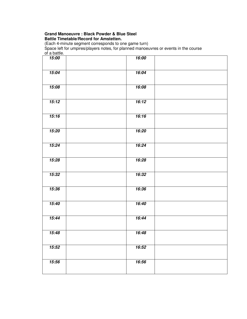# **Grand Manoeuvre : Black Powder & Blue Steel Battle Timetable/Record for Amstetten.**

(Each 4-minute segment corresponds to one game turn)

Space left for umpires/players notes, for planned manoeuvres or events in the course of a battle.

| or a patric. |       |  |
|--------------|-------|--|
| 15:00        | 16:00 |  |
| 15:04        | 16:04 |  |
| 15:08        | 16:08 |  |
| 15:12        | 16:12 |  |
| 15:16        | 16:16 |  |
| 15:20        | 16:20 |  |
| 15:24        | 16:24 |  |
| 15:28        | 16:28 |  |
| 15:32        | 16:32 |  |
| 15:36        | 16:36 |  |
| 15:40        | 16:40 |  |
| 15:44        | 16:44 |  |
| 15:48        | 16:48 |  |
| 15:52        | 16:52 |  |
| 15:56        | 16:56 |  |
|              |       |  |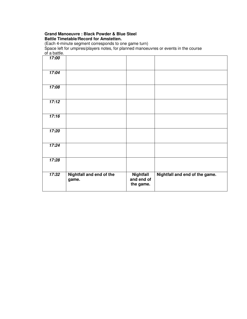# **Grand Manoeuvre : Black Powder & Blue Steel Battle Timetable/Record for Amstetten.**

(Each 4-minute segment corresponds to one game turn)

Space left for umpires/players notes, for planned manoeuvres or events in the course of a battle.

| 17:00 |                                   |                                             |                                |
|-------|-----------------------------------|---------------------------------------------|--------------------------------|
| 17:04 |                                   |                                             |                                |
| 17:08 |                                   |                                             |                                |
| 17:12 |                                   |                                             |                                |
| 17:16 |                                   |                                             |                                |
| 17:20 |                                   |                                             |                                |
| 17:24 |                                   |                                             |                                |
| 17:28 |                                   |                                             |                                |
| 17:32 | Nightfall and end of the<br>game. | <b>Nightfall</b><br>and end of<br>the game. | Nightfall and end of the game. |